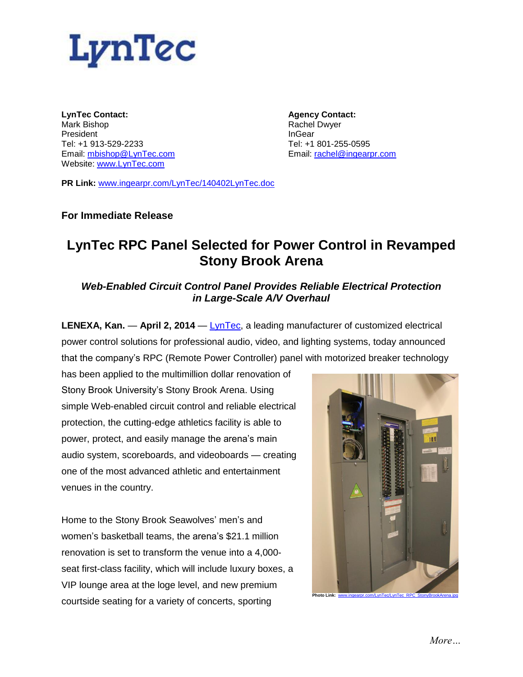

**LynTec Contact:** Mark Bishop President Tel: +1 913-529-2233 Email: [mbishop@LynTec.com](mailto:mbishop@LynTec.com) Website: [www.LynTec.com](http://www.lyntec.com/)

**Agency Contact:** Rachel Dwyer InGear Tel: +1 801-255-0595 Email: [rachel@ingearpr.com](mailto:rachel@ingearpr.com)

**PR Link:** [www.ingearpr.com/LynTec/140402LynTec.doc](http://www.ingearpr.com/LynTec/140402LynTec.doc)

## **For Immediate Release**

# **LynTec RPC Panel Selected for Power Control in Revamped Stony Brook Arena**

## *Web-Enabled Circuit Control Panel Provides Reliable Electrical Protection in Large-Scale A/V Overhaul*

**LENEXA, Kan.** — **April 2, 2014** — [LynTec,](http://www.lyntec.com/) a leading manufacturer of customized electrical power control solutions for professional audio, video, and lighting systems, today announced that the company's RPC (Remote Power Controller) panel with motorized breaker technology

has been applied to the multimillion dollar renovation of Stony Brook University's Stony Brook Arena. Using simple Web-enabled circuit control and reliable electrical protection, the cutting-edge athletics facility is able to power, protect, and easily manage the arena's main audio system, scoreboards, and videoboards — creating one of the most advanced athletic and entertainment venues in the country.

Home to the Stony Brook Seawolves' men's and women's basketball teams, the arena's \$21.1 million renovation is set to transform the venue into a 4,000 seat first-class facility, which will include luxury boxes, a VIP lounge area at the loge level, and new premium courtside seating for a variety of concerts, sporting

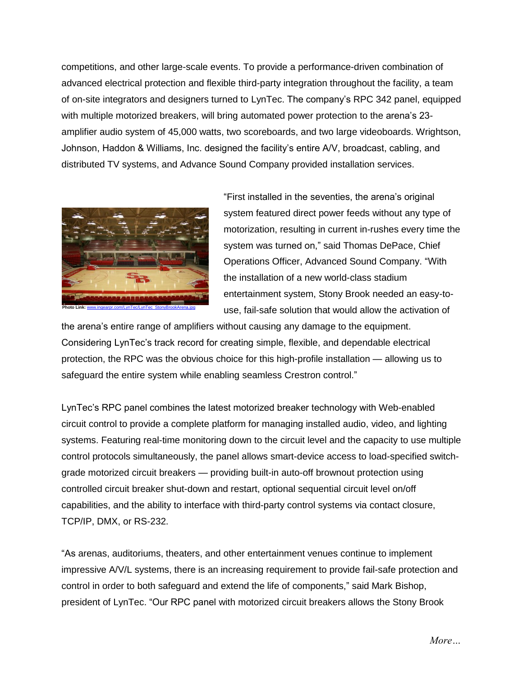competitions, and other large-scale events. To provide a performance-driven combination of advanced electrical protection and flexible third-party integration throughout the facility, a team of on-site integrators and designers turned to LynTec. The company's RPC 342 panel, equipped with multiple motorized breakers, will bring automated power protection to the arena's 23 amplifier audio system of 45,000 watts, two scoreboards, and two large videoboards. Wrightson, Johnson, Haddon & Williams, Inc. designed the facility's entire A/V, broadcast, cabling, and distributed TV systems, and Advance Sound Company provided installation services.



"First installed in the seventies, the arena's original system featured direct power feeds without any type of motorization, resulting in current in-rushes every time the system was turned on," said Thomas DePace, Chief Operations Officer, Advanced Sound Company. "With the installation of a new world-class stadium entertainment system, Stony Brook needed an easy-touse, fail-safe solution that would allow the activation of

the arena's entire range of amplifiers without causing any damage to the equipment. Considering LynTec's track record for creating simple, flexible, and dependable electrical protection, the RPC was the obvious choice for this high-profile installation — allowing us to safeguard the entire system while enabling seamless Crestron control."

LynTec's RPC panel combines the latest motorized breaker technology with Web-enabled circuit control to provide a complete platform for managing installed audio, video, and lighting systems. Featuring real-time monitoring down to the circuit level and the capacity to use multiple control protocols simultaneously, the panel allows smart-device access to load-specified switchgrade motorized circuit breakers — providing built-in auto-off brownout protection using controlled circuit breaker shut-down and restart, optional sequential circuit level on/off capabilities, and the ability to interface with third-party control systems via contact closure, TCP/IP, DMX, or RS-232.

"As arenas, auditoriums, theaters, and other entertainment venues continue to implement impressive A/V/L systems, there is an increasing requirement to provide fail-safe protection and control in order to both safeguard and extend the life of components," said Mark Bishop, president of LynTec. "Our RPC panel with motorized circuit breakers allows the Stony Brook